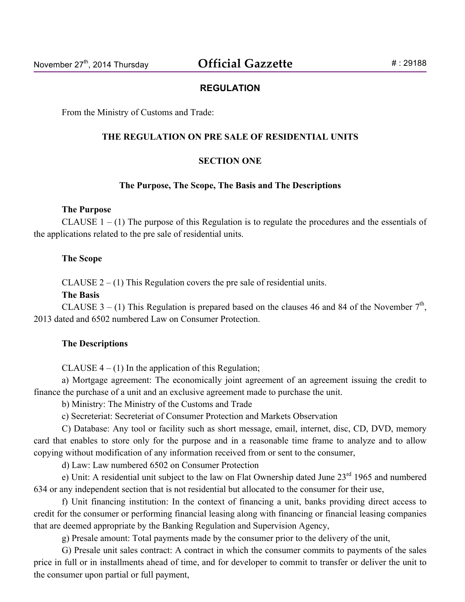### **REGULATION**

From the Ministry of Customs and Trade:

#### **THE REGULATION ON PRE SALE OF RESIDENTIAL UNITS**

#### **SECTION ONE**

#### **The Purpose, The Scope, The Basis and The Descriptions**

#### **The Purpose**

CLAUSE  $1 - (1)$  The purpose of this Regulation is to regulate the procedures and the essentials of the applications related to the pre sale of residential units.

#### **The Scope**

CLAUSE  $2 - (1)$  This Regulation covers the pre sale of residential units.

### **The Basis**

CLAUSE  $3 - (1)$  This Regulation is prepared based on the clauses 46 and 84 of the November  $7<sup>th</sup>$ , 2013 dated and 6502 numbered Law on Consumer Protection.

#### **The Descriptions**

CLAUSE  $4 - (1)$  In the application of this Regulation;

a) Mortgage agreement: The economically joint agreement of an agreement issuing the credit to finance the purchase of a unit and an exclusive agreement made to purchase the unit.

b) Ministry: The Ministry of the Customs and Trade

c) Secreteriat: Secreteriat of Consumer Protection and Markets Observation

C) Database: Any tool or facility such as short message, email, internet, disc, CD, DVD, memory card that enables to store only for the purpose and in a reasonable time frame to analyze and to allow copying without modification of any information received from or sent to the consumer,

d) Law: Law numbered 6502 on Consumer Protection

e) Unit: A residential unit subject to the law on Flat Ownership dated June  $23<sup>rd</sup> 1965$  and numbered 634 or any independent section that is not residential but allocated to the consumer for their use,

f) Unit financing institution: In the context of financing a unit, banks providing direct access to credit for the consumer or performing financial leasing along with financing or financial leasing companies that are deemed appropriate by the Banking Regulation and Supervision Agency,

g) Presale amount: Total payments made by the consumer prior to the delivery of the unit,

G) Presale unit sales contract: A contract in which the consumer commits to payments of the sales price in full or in installments ahead of time, and for developer to commit to transfer or deliver the unit to the consumer upon partial or full payment,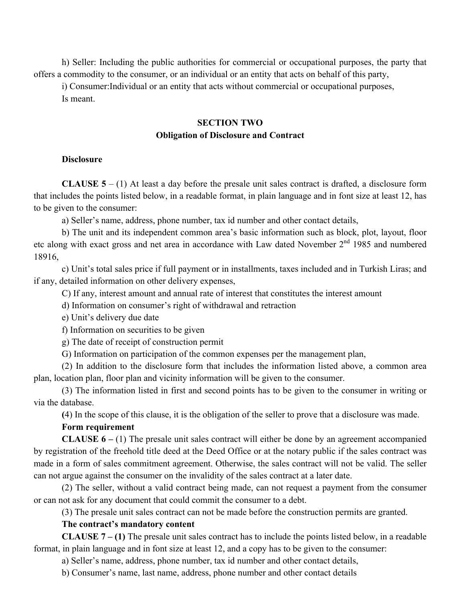h) Seller: Including the public authorities for commercial or occupational purposes, the party that offers a commodity to the consumer, or an individual or an entity that acts on behalf of this party,

i) Consumer:Individual or an entity that acts without commercial or occupational purposes, Is meant.

# **SECTION TWO Obligation of Disclosure and Contract**

### **Disclosure**

**CLAUSE**  $5 - (1)$  **At least a day before the presale unit sales contract is drafted, a disclosure form** that includes the points listed below, in a readable format, in plain language and in font size at least 12, has to be given to the consumer:

a) Seller's name, address, phone number, tax id number and other contact details,

b) The unit and its independent common area's basic information such as block, plot, layout, floor etc along with exact gross and net area in accordance with Law dated November 2<sup>nd</sup> 1985 and numbered 18916,

c) Unit's total sales price if full payment or in installments, taxes included and in Turkish Liras; and if any, detailed information on other delivery expenses,

C) If any, interest amount and annual rate of interest that constitutes the interest amount

d) Information on consumer's right of withdrawal and retraction

e) Unit's delivery due date

f) Information on securities to be given

g) The date of receipt of construction permit

G) Information on participation of the common expenses per the management plan,

(2) In addition to the disclosure form that includes the information listed above, a common area plan, location plan, floor plan and vicinity information will be given to the consumer.

(3) The information listed in first and second points has to be given to the consumer in writing or via the database.

**(**4) In the scope of this clause, it is the obligation of the seller to prove that a disclosure was made.

# **Form requirement**

**CLAUSE 6 –** (1) The presale unit sales contract will either be done by an agreement accompanied by registration of the freehold title deed at the Deed Office or at the notary public if the sales contract was made in a form of sales commitment agreement. Otherwise, the sales contract will not be valid. The seller can not argue against the consumer on the invalidity of the sales contract at a later date.

(2) The seller, without a valid contract being made, can not request a payment from the consumer or can not ask for any document that could commit the consumer to a debt.

(3) The presale unit sales contract can not be made before the construction permits are granted.

# **The contract's mandatory content**

**CLAUSE 7 – (1)** The presale unit sales contract has to include the points listed below, in a readable format, in plain language and in font size at least 12, and a copy has to be given to the consumer:

a) Seller's name, address, phone number, tax id number and other contact details,

b) Consumer's name, last name, address, phone number and other contact details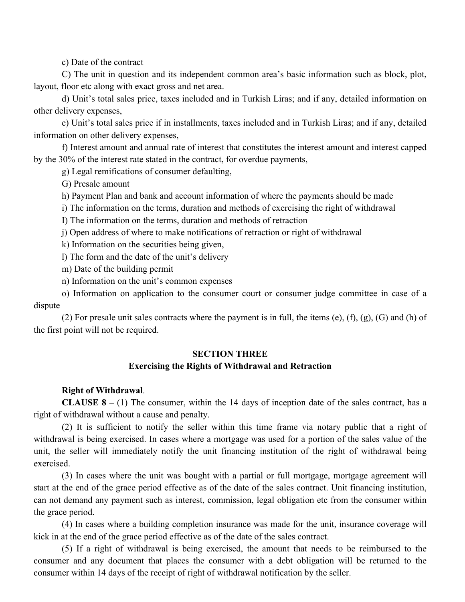c) Date of the contract

C) The unit in question and its independent common area's basic information such as block, plot, layout, floor etc along with exact gross and net area.

d) Unit's total sales price, taxes included and in Turkish Liras; and if any, detailed information on other delivery expenses,

e) Unit's total sales price if in installments, taxes included and in Turkish Liras; and if any, detailed information on other delivery expenses,

f) Interest amount and annual rate of interest that constitutes the interest amount and interest capped by the 30% of the interest rate stated in the contract, for overdue payments,

g) Legal remifications of consumer defaulting,

G) Presale amount

h) Payment Plan and bank and account information of where the payments should be made

i) The information on the terms, duration and methods of exercising the right of withdrawal

I) The information on the terms, duration and methods of retraction

j) Open address of where to make notifications of retraction or right of withdrawal

k) Information on the securities being given,

l) The form and the date of the unit's delivery

m) Date of the building permit

n) Information on the unit's common expenses

o) Information on application to the consumer court or consumer judge committee in case of a dispute

(2) For presale unit sales contracts where the payment is in full, the items (e), (f), (g), (G) and (h) of the first point will not be required.

# **SECTION THREE Exercising the Rights of Withdrawal and Retraction**

### **Right of Withdrawal**.

**CLAUSE 8 –** (1) The consumer, within the 14 days of inception date of the sales contract, has a right of withdrawal without a cause and penalty.

(2) It is sufficient to notify the seller within this time frame via notary public that a right of withdrawal is being exercised. In cases where a mortgage was used for a portion of the sales value of the unit, the seller will immediately notify the unit financing institution of the right of withdrawal being exercised.

(3) In cases where the unit was bought with a partial or full mortgage, mortgage agreement will start at the end of the grace period effective as of the date of the sales contract. Unit financing institution, can not demand any payment such as interest, commission, legal obligation etc from the consumer within the grace period.

(4) In cases where a building completion insurance was made for the unit, insurance coverage will kick in at the end of the grace period effective as of the date of the sales contract.

(5) If a right of withdrawal is being exercised, the amount that needs to be reimbursed to the consumer and any document that places the consumer with a debt obligation will be returned to the consumer within 14 days of the receipt of right of withdrawal notification by the seller.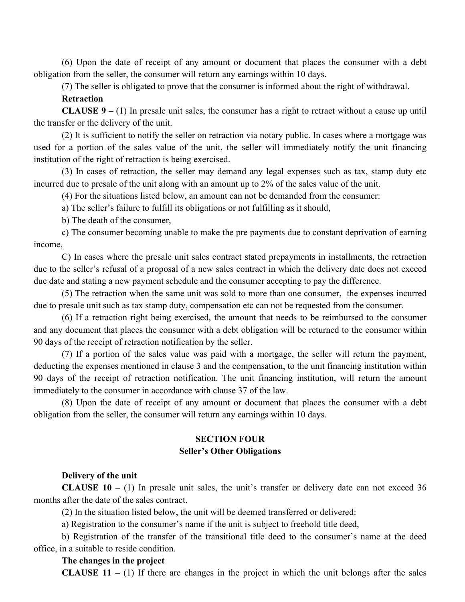(6) Upon the date of receipt of any amount or document that places the consumer with a debt obligation from the seller, the consumer will return any earnings within 10 days.

(7) The seller is obligated to prove that the consumer is informed about the right of withdrawal.

**Retraction**

**CLAUSE 9 –** (1) In presale unit sales, the consumer has a right to retract without a cause up until the transfer or the delivery of the unit.

(2) It is sufficient to notify the seller on retraction via notary public. In cases where a mortgage was used for a portion of the sales value of the unit, the seller will immediately notify the unit financing institution of the right of retraction is being exercised.

(3) In cases of retraction, the seller may demand any legal expenses such as tax, stamp duty etc incurred due to presale of the unit along with an amount up to 2% of the sales value of the unit.

(4) For the situations listed below, an amount can not be demanded from the consumer:

a) The seller's failure to fulfill its obligations or not fulfilling as it should,

b) The death of the consumer,

c) The consumer becoming unable to make the pre payments due to constant deprivation of earning income,

C) In cases where the presale unit sales contract stated prepayments in installments, the retraction due to the seller's refusal of a proposal of a new sales contract in which the delivery date does not exceed due date and stating a new payment schedule and the consumer accepting to pay the difference.

(5) The retraction when the same unit was sold to more than one consumer, the expenses incurred due to presale unit such as tax stamp duty, compensation etc can not be requested from the consumer.

(6) If a retraction right being exercised, the amount that needs to be reimbursed to the consumer and any document that places the consumer with a debt obligation will be returned to the consumer within 90 days of the receipt of retraction notification by the seller.

(7) If a portion of the sales value was paid with a mortgage, the seller will return the payment, deducting the expenses mentioned in clause 3 and the compensation, to the unit financing institution within 90 days of the receipt of retraction notification. The unit financing institution, will return the amount immediately to the consumer in accordance with clause 37 of the law.

(8) Upon the date of receipt of any amount or document that places the consumer with a debt obligation from the seller, the consumer will return any earnings within 10 days.

# **SECTION FOUR Seller's Other Obligations**

### **Delivery of the unit**

**CLAUSE 10 –** (1) In presale unit sales, the unit's transfer or delivery date can not exceed 36 months after the date of the sales contract.

(2) In the situation listed below, the unit will be deemed transferred or delivered:

a) Registration to the consumer's name if the unit is subject to freehold title deed,

b) Registration of the transfer of the transitional title deed to the consumer's name at the deed office, in a suitable to reside condition.

#### **The changes in the project**

**CLAUSE 11 –** (1) If there are changes in the project in which the unit belongs after the sales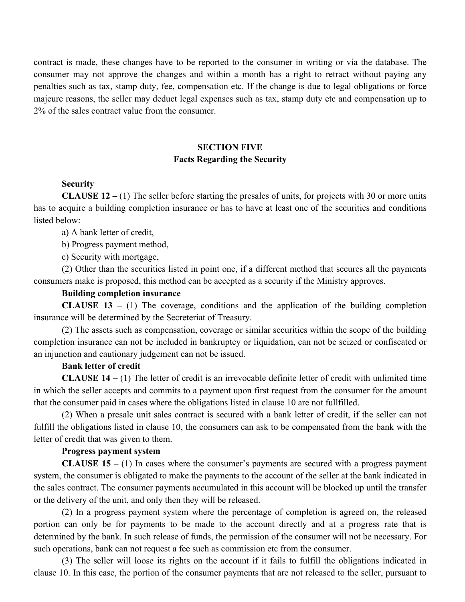contract is made, these changes have to be reported to the consumer in writing or via the database. The consumer may not approve the changes and within a month has a right to retract without paying any penalties such as tax, stamp duty, fee, compensation etc. If the change is due to legal obligations or force majeure reasons, the seller may deduct legal expenses such as tax, stamp duty etc and compensation up to 2% of the sales contract value from the consumer.

# **SECTION FIVE Facts Regarding the Security**

# **Security**

**CLAUSE 12 –** (1) The seller before starting the presales of units, for projects with 30 or more units has to acquire a building completion insurance or has to have at least one of the securities and conditions listed below:

a) A bank letter of credit,

b) Progress payment method,

c) Security with mortgage,

(2) Other than the securities listed in point one, if a different method that secures all the payments consumers make is proposed, this method can be accepted as a security if the Ministry approves.

### **Building completion insurance**

**CLAUSE 13 –** (1) The coverage, conditions and the application of the building completion insurance will be determined by the Secreteriat of Treasury.

(2) The assets such as compensation, coverage or similar securities within the scope of the building completion insurance can not be included in bankruptcy or liquidation, can not be seized or confiscated or an injunction and cautionary judgement can not be issued.

#### **Bank letter of credit**

**CLAUSE 14 –** (1) The letter of credit is an irrevocable definite letter of credit with unlimited time in which the seller accepts and commits to a payment upon first request from the consumer for the amount that the consumer paid in cases where the obligations listed in clause 10 are not fullfilled.

(2) When a presale unit sales contract is secured with a bank letter of credit, if the seller can not fulfill the obligations listed in clause 10, the consumers can ask to be compensated from the bank with the letter of credit that was given to them.

### **Progress payment system**

**CLAUSE 15 –** (1) In cases where the consumer's payments are secured with a progress payment system, the consumer is obligated to make the payments to the account of the seller at the bank indicated in the sales contract. The consumer payments accumulated in this account will be blocked up until the transfer or the delivery of the unit, and only then they will be released.

(2) In a progress payment system where the percentage of completion is agreed on, the released portion can only be for payments to be made to the account directly and at a progress rate that is determined by the bank. In such release of funds, the permission of the consumer will not be necessary. For such operations, bank can not request a fee such as commission etc from the consumer.

(3) The seller will loose its rights on the account if it fails to fulfill the obligations indicated in clause 10. In this case, the portion of the consumer payments that are not released to the seller, pursuant to